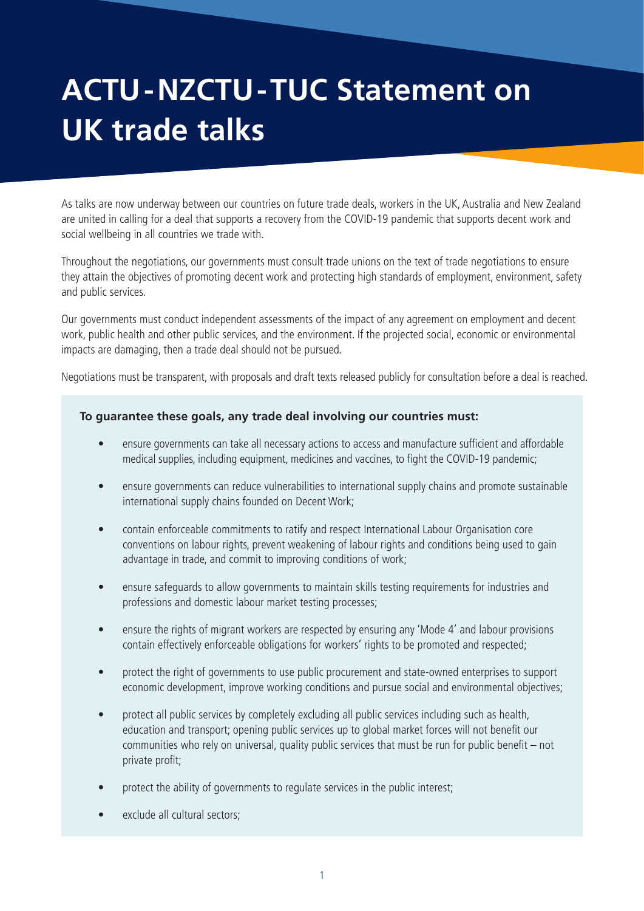## **ACTU-NZCTU-TUC Statement on UK trade talks**

As talks are now underway between our countries on future trade deals, workers in the UK, Australia and New Zealand are united in calling for a deal that supports a recovery from the COVID-19 pandemic that supports decent work and social wellbeing in all countries we trade with.

Throughout the negotiations, our governments must consult trade unions on the text of trade negotiations to ensure they attain the objectives of promoting decent work and protecting high standards of employment, environment, safety and public services.

Our governments must conduct independent assessments of the impact of any agreement on employment and decent work, public health and other public services, and the environment. If the projected social, economic or environmental impacts are damaging, then a trade deal should not be pursued.

Negotiations must be transparent, with proposals and draft texts released publicly for consultation before a deal is reached.

## **To guarantee these goals, any trade deal involving our countries must:**

- ensure governments can take all necessary actions to access and manufacture sufficient and affordable medical supplies, including equipment, medicines and vaccines, to fight the COVID-19 pandemic;
- ensure governments can reduce vulnerabilities to international supply chains and promote sustainable international supply chains founded on Decent Work;
- contain enforceable commitments to ratify and respect International Labour Organisation core conventions on labour rights, prevent weakening of labour rights and conditions being used to gain advantage in trade, and commit to improving conditions of work;
- ensure safeguards to allow governments to maintain skills testing requirements for industries and professions and domestic labour market testing processes;
- ensure the rights of migrant workers are respected by ensuring any 'Mode 4' and labour provisions contain effectively enforceable obligations for workers' rights to be promoted and respected;
- protect the right of governments to use public procurement and state-owned enterprises to support economic development, improve working conditions and pursue social and environmental objectives;
- protect all public services by completely excluding all public services including such as health, education and transport; opening public services up to global market forces will not benefit our communities who rely on universal, quality public services that must be run for public benefit – not private profit;
- protect the ability of governments to regulate services in the public interest;
- exclude all cultural sectors;